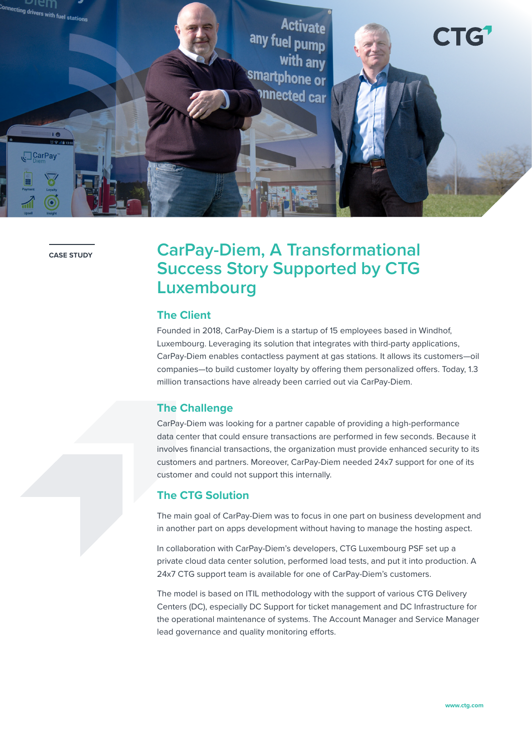

**CASE STUDY**

# **CarPay-Diem, A Transformational Success Story Supported by CTG Luxembourg**

### **The Client**

Founded in 2018, CarPay-Diem is a startup of 15 employees based in Windhof, Luxembourg. Leveraging its solution that integrates with third-party applications, CarPay-Diem enables contactless payment at gas stations. It allows its customers—oil companies—to build customer loyalty by offering them personalized offers. Today, 1.3 million transactions have already been carried out via CarPay-Diem.

#### **The Challenge**

CarPay-Diem was looking for a partner capable of providing a high-performance data center that could ensure transactions are performed in few seconds. Because it involves financial transactions, the organization must provide enhanced security to its customers and partners. Moreover, CarPay-Diem needed 24x7 support for one of its customer and could not support this internally.

#### **The CTG Solution**

The main goal of CarPay-Diem was to focus in one part on business development and in another part on apps development without having to manage the hosting aspect.

In collaboration with CarPay-Diem's developers, CTG Luxembourg PSF set up a private cloud data center solution, performed load tests, and put it into production. A 24x7 CTG support team is available for one of CarPay-Diem's customers.

The model is based on ITIL methodology with the support of various CTG Delivery Centers (DC), especially DC Support for ticket management and DC Infrastructure for the operational maintenance of systems. The Account Manager and Service Manager lead governance and quality monitoring efforts.